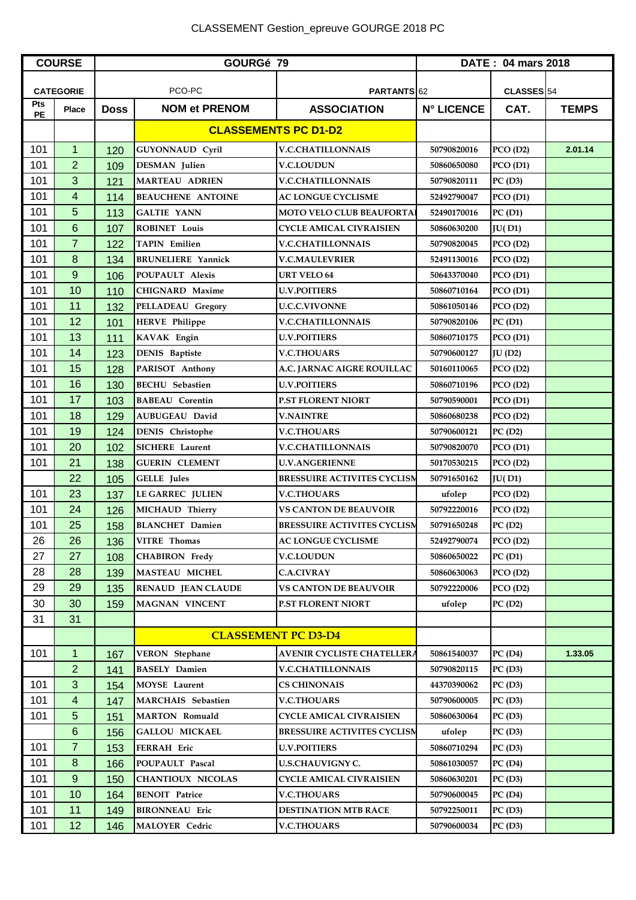## CLASSEMENT Gestion\_epreuve GOURGE 2018 PC

| <b>COURSE</b>    |                  | GOURGé 79                   |                           | DATE: 04 mars 2018                 |                   |                |              |
|------------------|------------------|-----------------------------|---------------------------|------------------------------------|-------------------|----------------|--------------|
|                  |                  |                             |                           |                                    |                   |                |              |
|                  | <b>CATEGORIE</b> |                             | PCO-PC                    | PARTANTS 62                        |                   | CLASSES 54     |              |
| Pts<br><b>PE</b> | <b>Place</b>     | <b>Doss</b>                 | <b>NOM et PRENOM</b>      | <b>ASSOCIATION</b>                 | <b>N° LICENCE</b> | CAT.           | <b>TEMPS</b> |
|                  |                  | <b>CLASSEMENTS PC D1-D2</b> |                           |                                    |                   |                |              |
| 101              | $\mathbf 1$      | 120                         | <b>GUYONNAUD Cyril</b>    | <b>V.C.CHATILLONNAIS</b>           | 50790820016       | PCO(D2)        | 2.01.14      |
| 101              | $\overline{2}$   | 109                         | <b>DESMAN</b> Julien      | <b>V.C.LOUDUN</b>                  | 50860650080       | PCO(D1)        |              |
| 101              | 3                | 121                         | <b>MARTEAU ADRIEN</b>     | <b>V.C.CHATILLONNAIS</b>           | 50790820111       | PC(D3)         |              |
| 101              | 4                | 114                         | <b>BEAUCHENE ANTOINE</b>  | AC LONGUE CYCLISME                 | 52492790047       | PCO(D1)        |              |
| 101              | 5                | 113                         | <b>GALTIE YANN</b>        | <b>MOTO VELO CLUB BEAUFORTA!</b>   | 52490170016       | PC(D1)         |              |
| 101              | 6                | 107                         | <b>ROBINET Louis</b>      | CYCLE AMICAL CIVRAISIEN            | 50860630200       | JU(D1)         |              |
| 101              | $\overline{7}$   | 122                         | <b>TAPIN Emilien</b>      | <b>V.C.CHATILLONNAIS</b>           | 50790820045       | PCO(D2)        |              |
| 101              | $\bf 8$          | 134                         | <b>BRUNELIERE Yannick</b> | <b>V.C.MAULEVRIER</b>              | 52491130016       | PCO(D2)        |              |
| 101              | $\boldsymbol{9}$ | 106                         | POUPAULT Alexis           | <b>URT VELO 64</b>                 | 50643370040       | PCO(D1)        |              |
| 101              | 10               | 110                         | <b>CHIGNARD Maxime</b>    | <b>U.V.POITIERS</b>                | 50860710164       | PCO(D1)        |              |
| 101              | 11               | 132                         | PELLADEAU Gregory         | <b>U.C.C.VIVONNE</b>               | 50861050146       | PCO(D2)        |              |
| 101              | 12               | 101                         | <b>HERVE Philippe</b>     | <b>V.C.CHATILLONNAIS</b>           | 50790820106       | PC(D1)         |              |
| 101              | 13               | 111                         | <b>KAVAK Engin</b>        | <b>U.V.POITIERS</b>                | 50860710175       | PCO(D1)        |              |
| 101              | 14               | 123                         | <b>DENIS</b> Baptiste     | <b>V.C.THOUARS</b>                 | 50790600127       | <b>JU</b> (D2) |              |
| 101              | 15               | 128                         | PARISOT Anthony           | A.C. JARNAC AIGRE ROUILLAC         | 50160110065       | PCO(D2)        |              |
| 101              | 16               | 130                         | <b>BECHU</b> Sebastien    | <b>U.V.POITIERS</b>                | 50860710196       | PCO(D2)        |              |
| 101              | 17               | 103                         | <b>BABEAU</b> Corentin    | <b>P.ST FLORENT NIORT</b>          | 50790590001       | PCO(D1)        |              |
| 101              | 18               | 129                         | <b>AUBUGEAU David</b>     | <b>V.NAINTRE</b>                   | 50860680238       | PCO(D2)        |              |
| 101              | 19               | 124                         | <b>DENIS</b> Christophe   | <b>V.C.THOUARS</b>                 | 50790600121       | PC(D2)         |              |
| 101              | 20               | 102                         | SICHERE Laurent           | <b>V.C.CHATILLONNAIS</b>           | 50790820070       | PCO(D1)        |              |
| 101              | 21               | 138                         | <b>GUERIN CLEMENT</b>     | <b>U.V.ANGERIENNE</b>              | 50170530215       | PCO(D2)        |              |
|                  | 22               | 105                         | <b>GELLE</b> Jules        | <b>BRESSUIRE ACTIVITES CYCLISM</b> | 50791650162       | JU(D1)         |              |
| 101              | 23               | 137                         | <b>LE GARREC JULIEN</b>   | <b>V.C.THOUARS</b>                 | ufolep            | PCO(D2)        |              |
| 101              | 24               | 126                         | MICHAUD Thierry           | <b>VS CANTON DE BEAUVOIR</b>       | 50792220016       | PCO(D2)        |              |
| 101              | 25               | 158                         | <b>BLANCHET</b> Damien    | <b>BRESSUIRE ACTIVITES CYCLISM</b> | 50791650248       | PC(D2)         |              |
| 26               | 26               | 136                         | <b>VITRE Thomas</b>       | <b>AC LONGUE CYCLISME</b>          | 52492790074       | PCO(D2)        |              |
| 27               | 27               | 108                         | <b>CHABIRON</b> Fredy     | <b>V.C.LOUDUN</b>                  | 50860650022       | PC(D1)         |              |
| 28               | 28               | 139                         | <b>MASTEAU MICHEL</b>     | <b>C.A.CIVRAY</b>                  | 50860630063       | PCO(D2)        |              |
| 29               | 29               | 135                         | <b>RENAUD JEAN CLAUDE</b> | <b>VS CANTON DE BEAUVOIR</b>       | 50792220006       | PCO(D2)        |              |
| 30               | 30               | 159                         | <b>MAGNAN VINCENT</b>     | <b>P.ST FLORENT NIORT</b>          | ufolep            | PC(D2)         |              |
| 31               | 31               |                             |                           |                                    |                   |                |              |
|                  |                  |                             |                           | <b>CLASSEMENT PC D3-D4</b>         |                   |                |              |
| 101              | $\mathbf{1}$     | 167                         | <b>VERON</b> Stephane     | <b>AVENIR CYCLISTE CHATELLERA</b>  | 50861540037       | PC(D4)         | 1.33.05      |
|                  | $\overline{2}$   | 141                         | <b>BASELY Damien</b>      | <b>V.C.CHATILLONNAIS</b>           | 50790820115       | PC(D3)         |              |
| 101              | 3                | 154                         | <b>MOYSE</b> Laurent      | <b>CS CHINONAIS</b>                | 44370390062       | PC(D3)         |              |
| 101              | 4                | 147                         | <b>MARCHAIS</b> Sebastien | <b>V.C.THOUARS</b>                 | 50790600005       | PC(D3)         |              |
| 101              | 5                | 151                         | <b>MARTON Romuald</b>     | <b>CYCLE AMICAL CIVRAISIEN</b>     | 50860630064       | PC(D3)         |              |
|                  | 6                | 156                         | <b>GALLOU MICKAEL</b>     | <b>BRESSUIRE ACTIVITES CYCLISM</b> | ufolep            | PC(D3)         |              |
| 101              | $\overline{7}$   | 153                         | FERRAH Eric               | <b>U.V.POITIERS</b>                | 50860710294       | PC(D3)         |              |
| 101              | $\bf 8$          | 166                         | POUPAULT Pascal           | <b>U.S.CHAUVIGNY C.</b>            | 50861030057       | PC(D4)         |              |
| 101              | 9                | 150                         | <b>CHANTIOUX NICOLAS</b>  | <b>CYCLE AMICAL CIVRAISIEN</b>     | 50860630201       | PC(D3)         |              |
| 101              | 10               | 164                         | <b>BENOIT Patrice</b>     | <b>V.C.THOUARS</b>                 | 50790600045       | PC(D4)         |              |
| 101              | 11               | 149                         | <b>BIRONNEAU Eric</b>     | <b>DESTINATION MTB RACE</b>        | 50792250011       | PC(D3)         |              |
| 101              | 12               | 146                         | <b>MALOYER Cedric</b>     | <b>V.C.THOUARS</b>                 | 50790600034       | PC(D3)         |              |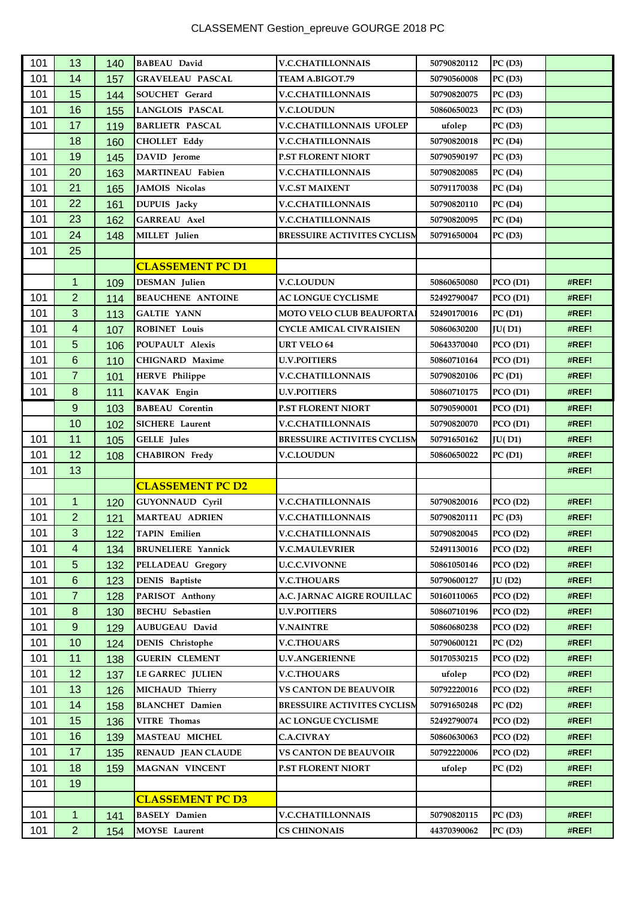| 101 | 13               | 140 | <b>BABEAU</b> David       | <b>V.C.CHATILLONNAIS</b>           | 50790820112 | PC(D3)  |       |
|-----|------------------|-----|---------------------------|------------------------------------|-------------|---------|-------|
| 101 | 14               | 157 | <b>GRAVELEAU PASCAL</b>   | <b>TEAM A.BIGOT.79</b>             | 50790560008 | PC(D3)  |       |
| 101 | 15               | 144 | <b>SOUCHET</b> Gerard     | <b>V.C.CHATILLONNAIS</b>           | 50790820075 | PC(D3)  |       |
| 101 | 16               | 155 | <b>LANGLOIS PASCAL</b>    | <b>V.C.LOUDUN</b>                  | 50860650023 | PC(D3)  |       |
| 101 | 17               | 119 | <b>BARLIETR PASCAL</b>    | <b>V.C.CHATILLONNAIS UFOLEP</b>    | ufolep      | PC(D3)  |       |
|     | 18               | 160 | <b>CHOLLET Eddy</b>       | <b>V.C.CHATILLONNAIS</b>           | 50790820018 | PC(D4)  |       |
| 101 | 19               | 145 | DAVID Jerome              | P.ST FLORENT NIORT                 | 50790590197 | PC(D3)  |       |
| 101 | 20               | 163 | <b>MARTINEAU Fabien</b>   | <b>V.C.CHATILLONNAIS</b>           | 50790820085 | PC(D4)  |       |
| 101 | 21               | 165 | JAMOIS Nicolas            | <b>V.C.ST MAIXENT</b>              | 50791170038 | PC(D4)  |       |
| 101 | 22               | 161 | <b>DUPUIS</b> Jacky       | <b>V.C.CHATILLONNAIS</b>           | 50790820110 | PC(D4)  |       |
| 101 | 23               | 162 | <b>GARREAU Axel</b>       | <b>V.C.CHATILLONNAIS</b>           | 50790820095 | PC(D4)  |       |
| 101 | 24               | 148 | MILLET Julien             | <b>BRESSUIRE ACTIVITES CYCLISM</b> | 50791650004 | PC(D3)  |       |
| 101 | 25               |     |                           |                                    |             |         |       |
|     |                  |     | <b>CLASSEMENT PC D1</b>   |                                    |             |         |       |
|     | $\mathbf{1}$     | 109 | <b>DESMAN</b> Julien      | <b>V.C.LOUDUN</b>                  | 50860650080 | PCO(D1) | #REF! |
| 101 | $\overline{2}$   | 114 | <b>BEAUCHENE ANTOINE</b>  | <b>AC LONGUE CYCLISME</b>          | 52492790047 | PCO(D1) | #REF! |
| 101 | 3                | 113 | <b>GALTIE YANN</b>        | <b>MOTO VELO CLUB BEAUFORTA</b>    | 52490170016 | PC(D1)  | #REF! |
| 101 | 4                | 107 | <b>ROBINET Louis</b>      | <b>CYCLE AMICAL CIVRAISIEN</b>     | 50860630200 | JU(D1)  | #REF! |
| 101 | 5                | 106 | POUPAULT Alexis           | <b>URT VELO 64</b>                 | 50643370040 | PCO(D1) | #REF! |
| 101 | 6                | 110 | <b>CHIGNARD Maxime</b>    | <b>U.V.POITIERS</b>                | 50860710164 | PCO(D1) | #REF! |
| 101 | $\overline{7}$   | 101 | <b>HERVE Philippe</b>     | <b>V.C.CHATILLONNAIS</b>           | 50790820106 | PC(D1)  | #REF! |
| 101 | 8                | 111 | <b>KAVAK Engin</b>        | <b>U.V.POITIERS</b>                | 50860710175 | PCO(D1) | #REF! |
|     | $\boldsymbol{9}$ | 103 | <b>BABEAU</b> Corentin    | <b>P.ST FLORENT NIORT</b>          | 50790590001 | PCO(D1) | #REF! |
|     | 10               | 102 | <b>SICHERE</b> Laurent    | <b>V.C.CHATILLONNAIS</b>           | 50790820070 | PCO(D1) | #REF! |
| 101 | 11               | 105 | <b>GELLE</b> Jules        | <b>BRESSUIRE ACTIVITES CYCLISM</b> | 50791650162 | JU(D1)  | #REF! |
| 101 | 12               | 108 | <b>CHABIRON Fredy</b>     | <b>V.C.LOUDUN</b>                  | 50860650022 | PC(D1)  | #REF! |
| 101 | 13               |     |                           |                                    |             |         | #REF! |
|     |                  |     | <b>CLASSEMENT PC D2</b>   |                                    |             |         |       |
| 101 | $\mathbf{1}$     | 120 | <b>GUYONNAUD Cyril</b>    | <b>V.C.CHATILLONNAIS</b>           | 50790820016 | PCO(D2) | #REF! |
| 101 | $\overline{2}$   | 121 | <b>MARTEAU ADRIEN</b>     | <b>V.C.CHATILLONNAIS</b>           | 50790820111 | PC(D3)  | #REF! |
| 101 | $\mathbf{3}$     | 122 | TAPIN Emilien             | <b>V.C.CHATILLONNAIS</b>           | 50790820045 | PCO(D2) | #REF! |
| 101 | 4                | 134 | <b>BRUNELIERE</b> Yannick | <b>V.C.MAULEVRIER</b>              | 52491130016 | PCO(D2) | #REF! |
| 101 | 5                | 132 | PELLADEAU Gregory         | <b>U.C.C.VIVONNE</b>               | 50861050146 | PCO(D2) | #REF! |
| 101 | $6\,$            | 123 | <b>DENIS</b> Baptiste     | <b>V.C.THOUARS</b>                 | 50790600127 | JU(D2)  | #REF! |
| 101 | $\overline{7}$   | 128 | PARISOT Anthony           | A.C. JARNAC AIGRE ROUILLAC         | 50160110065 | PCO(D2) | #REF! |
| 101 | $\bf 8$          | 130 | <b>BECHU</b> Sebastien    | <b>U.V.POITIERS</b>                | 50860710196 | PCO(D2) | #REF! |
| 101 | $\boldsymbol{9}$ | 129 | AUBUGEAU David            | <b>V.NAINTRE</b>                   | 50860680238 | PCO(D2) | #REF! |
| 101 | 10               | 124 | <b>DENIS</b> Christophe   | <b>V.C.THOUARS</b>                 | 50790600121 | PC(D2)  | #REF! |
| 101 | 11               | 138 | <b>GUERIN CLEMENT</b>     | <b>U.V.ANGERIENNE</b>              | 50170530215 | PCO(D2) | #REF! |
| 101 | 12               | 137 | <b>LE GARREC JULIEN</b>   | <b>V.C.THOUARS</b>                 | ufolep      | PCO(D2) | #REF! |
| 101 | 13               | 126 | MICHAUD Thierry           | <b>VS CANTON DE BEAUVOIR</b>       | 50792220016 | PCO(D2) | #REF! |
| 101 | 14               | 158 | <b>BLANCHET</b> Damien    | <b>BRESSUIRE ACTIVITES CYCLISM</b> | 50791650248 | PC(D2)  | #REF! |
| 101 | 15               | 136 | VITRE Thomas              | <b>AC LONGUE CYCLISME</b>          | 52492790074 | PCO(D2) | #REF! |
| 101 | 16               | 139 | <b>MASTEAU MICHEL</b>     | <b>C.A.CIVRAY</b>                  | 50860630063 | PCO(D2) | #REF! |
| 101 | 17               | 135 | <b>RENAUD JEAN CLAUDE</b> | <b>VS CANTON DE BEAUVOIR</b>       | 50792220006 | PCO(D2) | #REF! |
| 101 | 18               | 159 | MAGNAN VINCENT            | <b>P.ST FLORENT NIORT</b>          | ufolep      | PC(D2)  | #REF! |
| 101 | 19               |     |                           |                                    |             |         | #REF! |
|     |                  |     | <b>CLASSEMENT PC D3</b>   |                                    |             |         |       |
|     |                  |     |                           |                                    |             |         |       |
| 101 | 1                | 141 | <b>BASELY Damien</b>      | <b>V.C.CHATILLONNAIS</b>           | 50790820115 | PC(D3)  | #REF! |